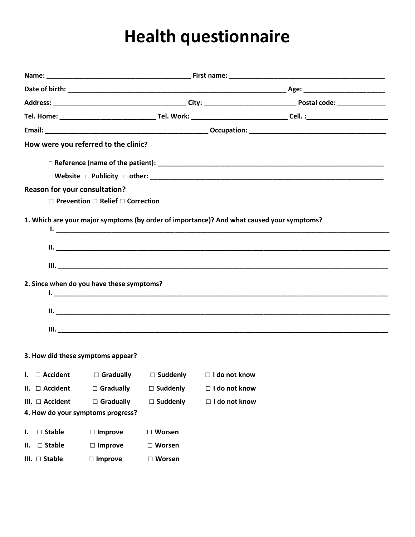## Health questionnaire

|                                      | How were you referred to the clinic?                  |                 |                                                                                           |  |  |
|--------------------------------------|-------------------------------------------------------|-----------------|-------------------------------------------------------------------------------------------|--|--|
|                                      |                                                       |                 |                                                                                           |  |  |
|                                      |                                                       |                 |                                                                                           |  |  |
| <b>Reason for your consultation?</b> | $\Box$ Prevention $\Box$ Relief $\Box$ Correction     |                 |                                                                                           |  |  |
|                                      |                                                       |                 | 1. Which are your major symptoms (by order of importance)? And what caused your symptoms? |  |  |
|                                      | 2. Since when do you have these symptoms?             |                 |                                                                                           |  |  |
|                                      | 3. How did these symptoms appear?                     |                 |                                                                                           |  |  |
|                                      |                                                       |                 | I. $\Box$ Accident $\Box$ Gradually $\Box$ Suddenly $\Box$ I do not know                  |  |  |
| $II. \square$ Accident               | $\Box$ Gradually                                      | $\Box$ Suddenly | □ I do not know                                                                           |  |  |
| III. □ Accident                      | $\Box$ Gradually<br>4. How do your symptoms progress? | $\Box$ Suddenly | □ I do not know                                                                           |  |  |
| $\Box$ Stable<br>ı.                  | $\Box$ Improve                                        | $\Box$ Worsen   |                                                                                           |  |  |
| $\Box$ Stable<br>н.                  | $\Box$ Improve                                        | $\Box$ Worsen   |                                                                                           |  |  |
| III. $\square$ Stable                | $\Box$ Improve                                        | $\Box$ Worsen   |                                                                                           |  |  |